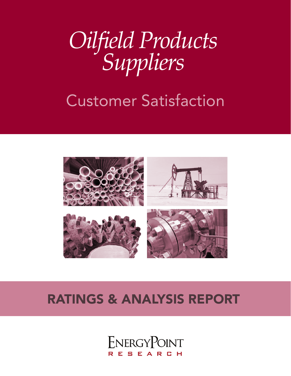

# Customer Satisfaction



## RATINGS & ANALYSIS REPORT

ENERGYPOINT RESEARCH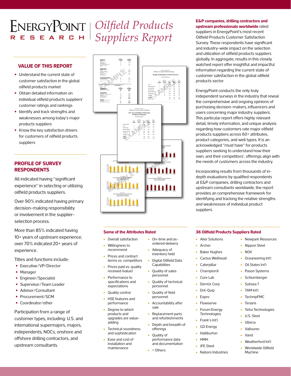*Oilfield Products Suppliers Report* 

#### **VALUE OF THIS REPORT**

- **•** Understand the current state of customer satisfaction in the global oilfield products market
- **•** Obtain detailed information on individual oilfield products suppliers' customer ratings and rankings
- **•** Identify and track strengths and weaknesses among today's major products suppliers
- **•** Know the key satisfaction drivers for customers of oilfield products suppliers

### **PROFILE OF SURVEY RESPONDENTS**

All indicated having "significant experience" in selecting or utilizing oilfield products suppliers.

Over 90% indicated having primary decision-making responsibility or involvement in the supplierselection process.

More than 85% indicated having 10+ years of upstream experience; over 70% indicated 20+ years of experience.

Titles and functions include:

- **•** Executive/VP/Director
- **•** Manager
- **•** Engineer/Specialist
- **•** Supervisor/Team Leader
- **•** Advisor/Consultant
- **•** Procurement/SCM
- **•** Coordinator/other

Participation from a range of customer types, including: U.S. and international supermajors, majors, independents, NOCs, onshore and offshore drilling contractors, and upstream consultants.



- Overall satisfaction
- Willingness to recommend
- Prices and contract terms vs. competitors
- Prices paid vs. quality received (value)
- Performance to specifications and expectations
- Quality control
- HSE features and performance
- Degree to which products and upgrades are valueadding
	- Technical soundness and sophistication
- Ease and cost of installation and maintenance
- On-time and asordered delivery • Adequacy of
- inventory held
- Digital Oilfield Data **Capabilities** 
	- Quality of sales personnel
	- Quality of technical personnel
	- Quality of field personnel
	- Accountability after sale
	- Replacement parts and refurbishments
	- Depth and breadth of offerings
	- Quality of performance data and documentation
	- + Others

#### **E&P companies, drilling contractors and upstream professionals worldwide** rated

suppliers in EnergyPoint's most recent Oilfield Products Customer Satisfaction Survey. These respondents have significant and industry-wide impact on the selection and utilization of oilfield products suppliers globally. In aggregate, results in this closely watched report offer insightful and impactful information regarding the current state of customer satisfaction in the global oilfield products sector.

EnergyPoint conducts the only truly independent surveys in the industry that reveal the comprehensive and ongoing opinions of purchasing decision-makers, influencers and users concerning major industry suppliers. This particular report offers highly relevant detail, timely information, and unique analysis regarding how customers rate major oilfield products suppliers across 60+ attributes, product categories, and well types. It is an acknowledged "must have" for products suppliers seeking to understand how their own, and their competitors', offerings align with the needs of customers across the industry.

Incorporating results from thousands of indepth evaluations by qualified respondents at E&P companies, drilling contractors and upstream consultants worldwide, the report provides an comprehensive framework for identifying and tracking the relative strengths and weaknesses of individual product suppliers.

#### **Some of the Attributes Rated 36 Oilfield Products Suppliers Rated**

- Aker Solutions
- Archer
- Baker Hughes
- Cactus Wellhead
- Caterpillar
- ChampionX
- Core Lab
- Derrick Corp
- Dril-Quip
- **Expro**
- **Flowserve**
- Forum Energy Technologies
- Frank's Int'l
- GD Energy
- Halliburton
- HMH
	-
- JFE Steel
- Nabors Industries
- Newpark Resources
- Nippon Steel
- NOV
- Oceaneering Int'l
- Oil States Int'l
- Pason Systems
- Schlumberger
- Subsea 7
- TAM Int'l
- TechnipFMC
- **Tenaris**
- Tetra Technologies
- U.S. Steel
- **Ulterra**
- **Vallourec**
- Varel
- Weatherford Int'l
- Worldwide Oilfield Machine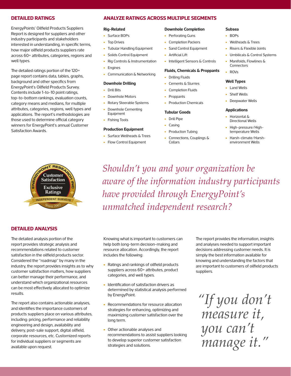### **DETAILED RATINGS**

EnergyPoints' Oilfield Products Suppliers Report is designed for suppliers and other industry participants and stakeholders interested in understanding, in specific terms, how major oilfield products suppliers rate across 60+ attributes, categories, regions and well types.

The detailed ratings portion of the 120+ page report contains data, tables, graphs, background and other specifics from EnergyPoint's Oilfield Products Survey. Contents include 1-to-10 point ratings, top-to-bottom rankings, evaluation counts, category means and medians, for multiple attributes, categories, regions, well types and applications. The report's methodologies are those used to determine official category winners for EnergyPoint's annual Customer Satisfaction Awards.



### **DETAILED ANALYSIS**

The detailed analysis portion of the report provides strategic analysis and recommendations related to customer satisfaction in the oilfield products sector. Considered the "roadmap" by many in the industry, the report provides insights as to why customer satisfaction matters, how suppliers can better manage their performance, and understand which organizational resources can be most effectively allocated to optimize results.

The report also contains actionable analyses, and identifies the importance customers of products suppliers place on various attributes, including: pricing, performance and reliability engineering and design, availability and delivery, post-sale support, digital oilfield, corporate resources, etc. Customized reports for individual suppliers or segments are available upon request.

#### **ANALYZE RATINGS ACROSS MULTIPLE SEGMENTS**

#### **Rig-Related**

- Surface BOPs
- Top Drives
- Tubular Handling Equipment
- Solids Control Equipment
- Rig Controls & Instrumentation
- Engines
- Communication & Networking

#### **Downhole Drilling**

- Drill Bits
- Downhole Motors
- Rotary Steerable Systems
- Downhole Cementing Equipment
- Fishing Tools

#### **Production Equipment**

- Surface Wellheads & Trees
- Flow Control Equipment

#### **Downhole Completion**

#### • Perforating Guns

- Completion Packers
- Sand Control Equipment
- Artificial Lift
- Intelligent Sensors & Controls

#### **Fluids, Chemicals & Proppants**

- Drilling Fluids
- Cements & Slurries
- Completion Fluids
- Proppants
- Production Chemicals

#### **Tubular Goods**

- Drill Pipe
- **Casing**
- Production Tubing
- Connections, Couplings & Collars

#### **Subsea**

- BOPs
- Wellheads & Trees
- Risers & Flexible Joints
- Umbilicals & Control Systems
- Manifolds, Flowlines & **Connectors**
- ROVs

#### **Well Types**

- Land Wells
- Shelf Wells
- Deepwater Wells

#### **Applications**

- Horizontal & Directional Wells
- High-pressure/Hightemperature Wells
- Harsh-climate/Harshenvironment Wells

*Shouldn't you and your organization be aware of the information industry participants have provided through EnergyPoint's unmatched independent research?* 

Knowing what is important to customers can help both long-term decision-making and resource allocation. Accordingly, the report includes the following:

- Ratings and rankings of oilfield products suppliers across 60+ attributes, product categories, and well types.
- Identification of satisfaction drivers as determined by statistical analysis performed by EnergyPoint.
- Recommendations for resource allocation strategies for enhancing, optimizing and maximizing customer satisfaction over the long term.
- Other actionable analyses and recommendations to assist suppliers looking to develop superior customer satisfaction strategies and solutions.

The report provides the information, insights and analyses needed to support important decisions addressing customer needs. It is simply the best information available for knowing and understanding the factors that are important to customers of oilfield products suppliers.

*"If you don't measure it, you can't manage it."*